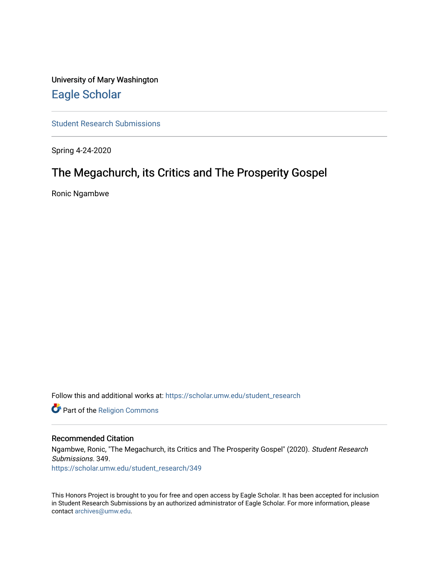University of Mary Washington [Eagle Scholar](https://scholar.umw.edu/) 

[Student Research Submissions](https://scholar.umw.edu/student_research) 

Spring 4-24-2020

# The Megachurch, its Critics and The Prosperity Gospel

Ronic Ngambwe

Follow this and additional works at: [https://scholar.umw.edu/student\\_research](https://scholar.umw.edu/student_research?utm_source=scholar.umw.edu%2Fstudent_research%2F349&utm_medium=PDF&utm_campaign=PDFCoverPages)

Part of the [Religion Commons](http://network.bepress.com/hgg/discipline/538?utm_source=scholar.umw.edu%2Fstudent_research%2F349&utm_medium=PDF&utm_campaign=PDFCoverPages)

#### Recommended Citation

Ngambwe, Ronic, "The Megachurch, its Critics and The Prosperity Gospel" (2020). Student Research Submissions. 349. [https://scholar.umw.edu/student\\_research/349](https://scholar.umw.edu/student_research/349?utm_source=scholar.umw.edu%2Fstudent_research%2F349&utm_medium=PDF&utm_campaign=PDFCoverPages)

This Honors Project is brought to you for free and open access by Eagle Scholar. It has been accepted for inclusion in Student Research Submissions by an authorized administrator of Eagle Scholar. For more information, please contact [archives@umw.edu](mailto:archives@umw.edu).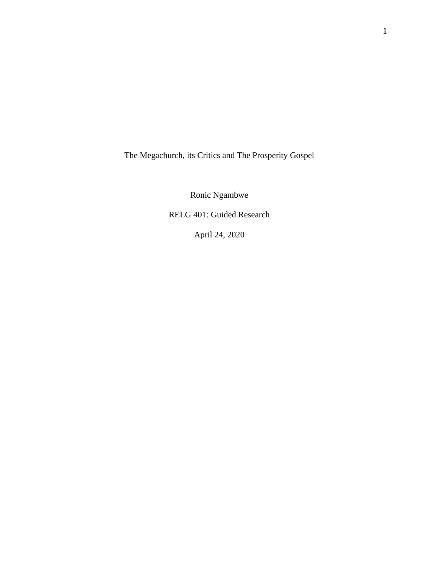The Megachurch, its Critics and The Prosperity Gospel

Ronic Ngambwe

RELG 401: Guided Research

April 24, 2020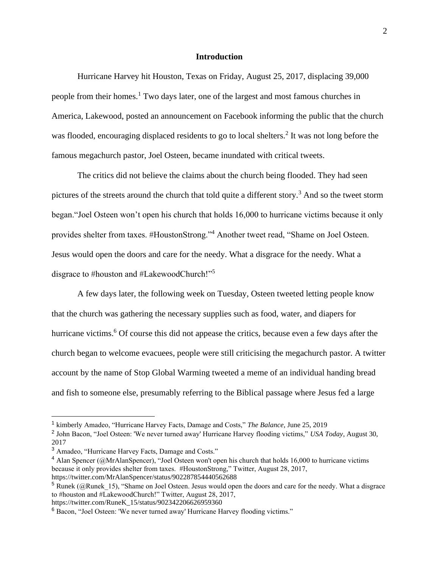# **Introduction**

Hurricane Harvey hit Houston, Texas on Friday, August 25, 2017, displacing 39,000 people from their homes.<sup>1</sup> Two days later, one of the largest and most famous churches in America, Lakewood, posted an announcement on Facebook informing the public that the church was flooded, encouraging displaced residents to go to local shelters.<sup>2</sup> It was not long before the famous megachurch pastor, Joel Osteen, became inundated with critical tweets.

The critics did not believe the claims about the church being flooded. They had seen pictures of the streets around the church that told quite a different story.<sup>3</sup> And so the tweet storm began."Joel Osteen won't open his church that holds 16,000 to hurricane victims because it only provides shelter from taxes. #HoustonStrong."<sup>4</sup> Another tweet read, "Shame on Joel Osteen. Jesus would open the doors and care for the needy. What a disgrace for the needy. What a disgrace to #houston and #LakewoodChurch!"<sup>5</sup>

A few days later, the following week on Tuesday, Osteen tweeted letting people know that the church was gathering the necessary supplies such as food, water, and diapers for hurricane victims.<sup>6</sup> Of course this did not appease the critics, because even a few days after the church began to welcome evacuees, people were still criticising the megachurch pastor. A twitter account by the name of Stop Global Warming tweeted a meme of an individual handing bread and fish to someone else, presumably referring to the Biblical passage where Jesus fed a large

<sup>&</sup>lt;sup>1</sup> kimberly Amadeo, "Hurricane Harvey Facts, Damage and Costs," *The Balance*, June 25, 2019

<sup>2</sup> John Bacon, "Joel Osteen: 'We never turned away' Hurricane Harvey flooding victims," *USA Today*, August 30, 2017

<sup>3</sup> Amadeo, "Hurricane Harvey Facts, Damage and Costs."

<sup>&</sup>lt;sup>4</sup> Alan Spencer (@MrAlanSpencer), "Joel Osteen won't open his church that holds 16,000 to hurricane victims because it only provides shelter from taxes. #HoustonStrong," Twitter, August 28, 2017, https://twitter.com/MrAlanSpencer/status/902287854440562688

 $5$  Runek (@Runek 15), "Shame on Joel Osteen. Jesus would open the doors and care for the needy. What a disgrace to #houston and #LakewoodChurch!" Twitter, August 28, 2017, https://twitter.com/RuneK\_15/status/902342206626959360

<sup>6</sup> Bacon, "Joel Osteen: 'We never turned away' Hurricane Harvey flooding victims."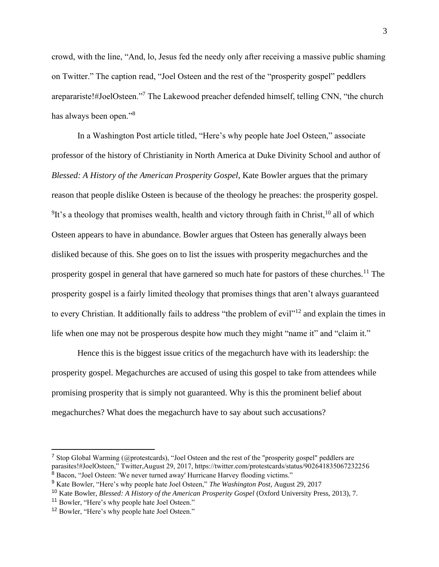crowd, with the line, "And, lo, Jesus fed the needy only after receiving a massive public shaming on Twitter." The caption read, "Joel Osteen and the rest of the "prosperity gospel" peddlers areparariste!#JoelOsteen."<sup>7</sup> The Lakewood preacher defended himself, telling CNN, "the church has always been open."<sup>8</sup>

In a Washington Post article titled, "Here's why people hate Joel Osteen," associate professor of the history of Christianity in North America at Duke Divinity School and author of *Blessed: A History of the American Prosperity Gospel*, Kate Bowler argues that the primary reason that people dislike Osteen is because of the theology he preaches: the prosperity gospel.  $9$ It's a theology that promises wealth, health and victory through faith in Christ,  $10$  all of which Osteen appears to have in abundance. Bowler argues that Osteen has generally always been disliked because of this. She goes on to list the issues with prosperity megachurches and the prosperity gospel in general that have garnered so much hate for pastors of these churches.<sup>11</sup> The prosperity gospel is a fairly limited theology that promises things that aren't always guaranteed to every Christian. It additionally fails to address "the problem of evil"<sup>12</sup> and explain the times in life when one may not be prosperous despite how much they might "name it" and "claim it."

Hence this is the biggest issue critics of the megachurch have with its leadership: the prosperity gospel. Megachurches are accused of using this gospel to take from attendees while promising prosperity that is simply not guaranteed. Why is this the prominent belief about megachurches? What does the megachurch have to say about such accusations?

<sup>&</sup>lt;sup>7</sup> Stop Global Warming (@protestcards), "Joel Osteen and the rest of the "prosperity gospel" peddlers are parasites!#JoelOsteen," Twitter,August 29, 2017, https://twitter.com/protestcards/status/902641835067232256 <sup>8</sup> Bacon, "Joel Osteen: 'We never turned away' Hurricane Harvey flooding victims."

<sup>9</sup> Kate Bowler, "Here's why people hate Joel Osteen," *The Washington Post*, August 29, 2017

<sup>10</sup> Kate Bowler, *Blessed: A History of the American Prosperity Gospel* (Oxford University Press, 2013), 7.

<sup>11</sup> Bowler, "Here's why people hate Joel Osteen."

<sup>12</sup> Bowler, "Here's why people hate Joel Osteen."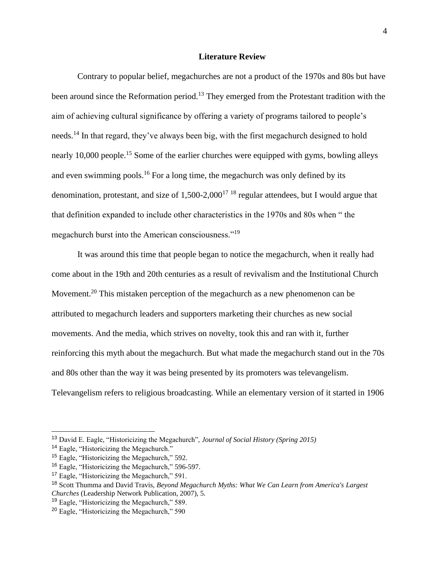## **Literature Review**

Contrary to popular belief, megachurches are not a product of the 1970s and 80s but have been around since the Reformation period.<sup>13</sup> They emerged from the Protestant tradition with the aim of achieving cultural significance by offering a variety of programs tailored to people's needs.<sup>14</sup> In that regard, they've always been big, with the first megachurch designed to hold nearly 10,000 people.<sup>15</sup> Some of the earlier churches were equipped with gyms, bowling alleys and even swimming pools.<sup>16</sup> For a long time, the megachurch was only defined by its denomination, protestant, and size of  $1,500-2,000^{17}$  <sup>18</sup> regular attendees, but I would argue that that definition expanded to include other characteristics in the 1970s and 80s when " the megachurch burst into the American consciousness."<sup>19</sup>

It was around this time that people began to notice the megachurch, when it really had come about in the 19th and 20th centuries as a result of revivalism and the Institutional Church Movement.<sup>20</sup> This mistaken perception of the megachurch as a new phenomenon can be attributed to megachurch leaders and supporters marketing their churches as new social movements. And the media, which strives on novelty, took this and ran with it, further reinforcing this myth about the megachurch. But what made the megachurch stand out in the 70s and 80s other than the way it was being presented by its promoters was televangelism. Televangelism refers to religious broadcasting. While an elementary version of it started in 1906

<sup>13</sup> David E. Eagle, "Historicizing the Megachurch", *Journal of Social History (Spring 2015)*

<sup>&</sup>lt;sup>14</sup> Eagle, "Historicizing the Megachurch."

<sup>15</sup> Eagle, "Historicizing the Megachurch," 592.

<sup>16</sup> Eagle, "Historicizing the Megachurch," 596-597.

<sup>17</sup> Eagle, "Historicizing the Megachurch," 591.

<sup>18</sup> Scott Thumma and David Travis, *Beyond Megachurch Myths: What We Can Learn from America's Largest Churches* (Leadership Network Publication, 2007), 5.

<sup>19</sup> Eagle, "Historicizing the Megachurch," 589.

<sup>20</sup> Eagle, "Historicizing the Megachurch," 590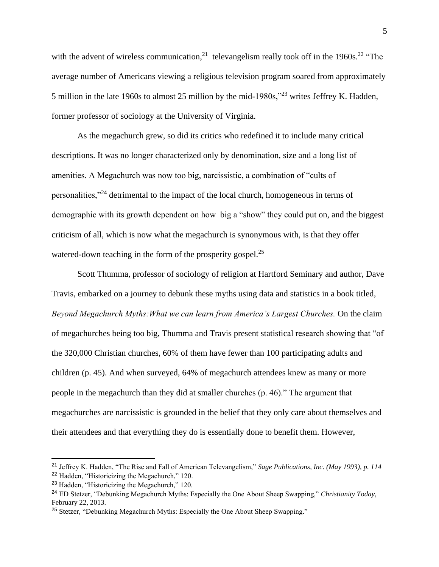with the advent of wireless communication,<sup>21</sup> televangelism really took off in the 1960s.<sup>22</sup> "The average number of Americans viewing a religious television program soared from approximately 5 million in the late 1960s to almost 25 million by the mid-1980s,"<sup>23</sup> writes Jeffrey K. Hadden, former professor of sociology at the University of Virginia.

As the megachurch grew, so did its critics who redefined it to include many critical descriptions. It was no longer characterized only by denomination, size and a long list of amenities. A Megachurch was now too big, narcissistic, a combination of "cults of personalities,"<sup>24</sup> detrimental to the impact of the local church, homogeneous in terms of demographic with its growth dependent on how big a "show" they could put on, and the biggest criticism of all, which is now what the megachurch is synonymous with, is that they offer watered-down teaching in the form of the prosperity gospel. $^{25}$ 

Scott Thumma, professor of sociology of religion at Hartford Seminary and author, Dave Travis, embarked on a journey to debunk these myths using data and statistics in a book titled, *Beyond Megachurch Myths:What we can learn from America's Largest Churches.* On the claim of megachurches being too big, Thumma and Travis present statistical research showing that "of the 320,000 Christian churches, 60% of them have fewer than 100 participating adults and children (p. 45). And when surveyed, 64% of megachurch attendees knew as many or more people in the megachurch than they did at smaller churches (p. 46)." The argument that megachurches are narcissistic is grounded in the belief that they only care about themselves and their attendees and that everything they do is essentially done to benefit them. However,

<sup>21</sup> Jeffrey K. Hadden, "The Rise and Fall of American Televangelism," *Sage Publications, Inc. (May 1993), p. 114*  <sup>22</sup> Hadden, "Historicizing the Megachurch," 120.

<sup>23</sup> Hadden, "Historicizing the Megachurch," 120.

<sup>24</sup> ED Stetzer, "Debunking Megachurch Myths: Especially the One About Sheep Swapping," *Christianity Today*, February 22, 2013.

<sup>&</sup>lt;sup>25</sup> Stetzer, "Debunking Megachurch Myths: Especially the One About Sheep Swapping."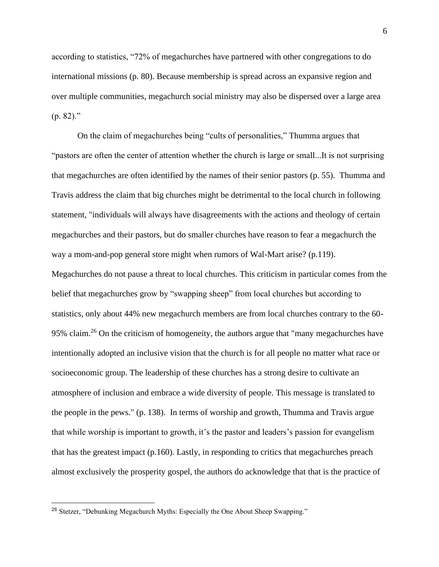according to statistics, "72% of megachurches have partnered with other congregations to do international missions (p. 80). Because membership is spread across an expansive region and over multiple communities, megachurch social ministry may also be dispersed over a large area  $(p. 82).$ "

On the claim of megachurches being "cults of personalities," Thumma argues that "pastors are often the center of attention whether the church is large or small...It is not surprising that megachurches are often identified by the names of their senior pastors (p. 55). Thumma and Travis address the claim that big churches might be detrimental to the local church in following statement, "individuals will always have disagreements with the actions and theology of certain megachurches and their pastors, but do smaller churches have reason to fear a megachurch the way a mom-and-pop general store might when rumors of Wal-Mart arise? (p.119).

Megachurches do not pause a threat to local churches. This criticism in particular comes from the belief that megachurches grow by "swapping sheep" from local churches but according to statistics, only about 44% new megachurch members are from local churches contrary to the 60- 95% claim.<sup>26</sup> On the criticism of homogeneity, the authors argue that "many megachurches have intentionally adopted an inclusive vision that the church is for all people no matter what race or socioeconomic group. The leadership of these churches has a strong desire to cultivate an atmosphere of inclusion and embrace a wide diversity of people. This message is translated to the people in the pews." (p. 138). In terms of worship and growth, Thumma and Travis argue that while worship is important to growth, it's the pastor and leaders's passion for evangelism that has the greatest impact (p.160). Lastly, in responding to critics that megachurches preach almost exclusively the prosperity gospel, the authors do acknowledge that that is the practice of

<sup>&</sup>lt;sup>26</sup> Stetzer, "Debunking Megachurch Myths: Especially the One About Sheep Swapping."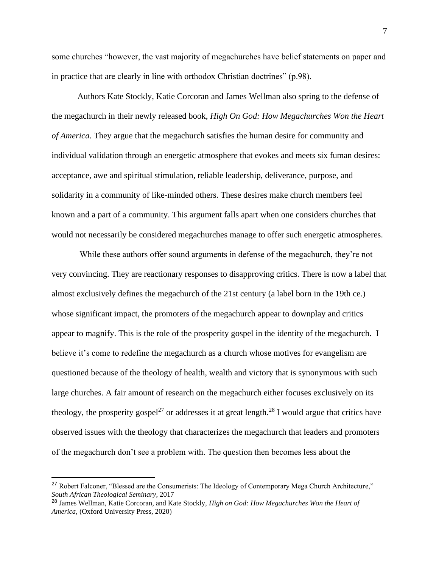some churches "however, the vast majority of megachurches have belief statements on paper and in practice that are clearly in line with orthodox Christian doctrines" (p.98).

Authors Kate Stockly, Katie Corcoran and James Wellman also spring to the defense of the megachurch in their newly released book, *High On God: How Megachurches Won the Heart of America*. They argue that the megachurch satisfies the human desire for community and individual validation through an energetic atmosphere that evokes and meets six fuman desires: acceptance, awe and spiritual stimulation, reliable leadership, deliverance, purpose, and solidarity in a community of like-minded others. These desires make church members feel known and a part of a community. This argument falls apart when one considers churches that would not necessarily be considered megachurches manage to offer such energetic atmospheres.

While these authors offer sound arguments in defense of the megachurch, they're not very convincing. They are reactionary responses to disapproving critics. There is now a label that almost exclusively defines the megachurch of the 21st century (a label born in the 19th ce.) whose significant impact, the promoters of the megachurch appear to downplay and critics appear to magnify. This is the role of the prosperity gospel in the identity of the megachurch. I believe it's come to redefine the megachurch as a church whose motives for evangelism are questioned because of the theology of health, wealth and victory that is synonymous with such large churches. A fair amount of research on the megachurch either focuses exclusively on its theology, the prosperity gospel<sup>27</sup> or addresses it at great length.<sup>28</sup> I would argue that critics have observed issues with the theology that characterizes the megachurch that leaders and promoters of the megachurch don't see a problem with. The question then becomes less about the

<sup>&</sup>lt;sup>27</sup> Robert Falconer, "Blessed are the Consumerists: The Ideology of Contemporary Mega Church Architecture," *South African Theological Seminary*, 2017

<sup>28</sup> James Wellman, Katie Corcoran, and Kate Stockly, *High on God: How Megachurches Won the Heart of America,* (Oxford University Press, 2020)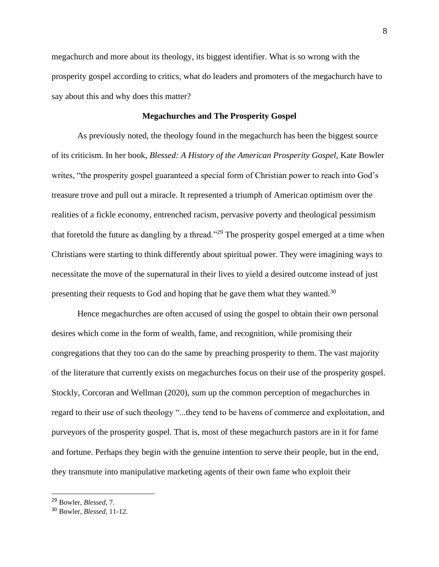megachurch and more about its theology, its biggest identifier. What is so wrong with the prosperity gospel according to critics, what do leaders and promoters of the megachurch have to say about this and why does this matter?

#### **Megachurches and The Prosperity Gospel**

As previously noted, the theology found in the megachurch has been the biggest source of its criticism. In her book, *Blessed: A History of the American Prosperity Gospel,* Kate Bowler writes, "the prosperity gospel guaranteed a special form of Christian power to reach into God's treasure trove and pull out a miracle. It represented a triumph of American optimism over the realities of a fickle economy, entrenched racism, pervasive poverty and theological pessimism that foretold the future as dangling by a thread."<sup>29</sup> The prosperity gospel emerged at a time when Christians were starting to think differently about spiritual power. They were imagining ways to necessitate the move of the supernatural in their lives to yield a desired outcome instead of just presenting their requests to God and hoping that he gave them what they wanted.<sup>30</sup>

Hence megachurches are often accused of using the gospel to obtain their own personal desires which come in the form of wealth, fame, and recognition, while promising their congregations that they too can do the same by preaching prosperity to them. The vast majority of the literature that currently exists on megachurches focus on their use of the prosperity gospel. Stockly, Corcoran and Wellman (2020), sum up the common perception of megachurches in regard to their use of such theology "...they tend to be havens of commerce and exploitation, and purveyors of the prosperity gospel. That is, most of these megachurch pastors are in it for fame and fortune. Perhaps they begin with the genuine intention to serve their people, but in the end, they transmute into manipulative marketing agents of their own fame who exploit their

<sup>29</sup> Bowler, *Blessed,* 7.

<sup>30</sup> Bowler, *Blessed,* 11-12.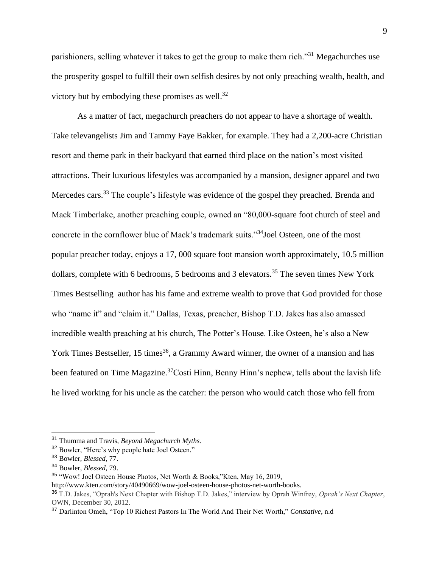parishioners, selling whatever it takes to get the group to make them rich."<sup>31</sup> Megachurches use the prosperity gospel to fulfill their own selfish desires by not only preaching wealth, health, and victory but by embodying these promises as well. $^{32}$ 

As a matter of fact, megachurch preachers do not appear to have a shortage of wealth. Take televangelists Jim and Tammy Faye Bakker, for example. They had a 2,200-acre Christian resort and theme park in their backyard that earned third place on the nation's most visited attractions. Their luxurious lifestyles was accompanied by a mansion, designer apparel and two Mercedes cars.<sup>33</sup> The couple's lifestyle was evidence of the gospel they preached. Brenda and Mack Timberlake, another preaching couple, owned an "80,000-square foot church of steel and concrete in the cornflower blue of Mack's trademark suits."<sup>34</sup>Joel Osteen, one of the most popular preacher today, enjoys a 17, 000 square foot mansion worth approximately, 10.5 million dollars, complete with 6 bedrooms, 5 bedrooms and 3 elevators.<sup>35</sup> The seven times New York Times Bestselling author has his fame and extreme wealth to prove that God provided for those who "name it" and "claim it." Dallas, Texas, preacher, Bishop T.D. Jakes has also amassed incredible wealth preaching at his church, The Potter's House. Like Osteen, he's also a New York Times Bestseller, 15 times<sup>36</sup>, a Grammy Award winner, the owner of a mansion and has been featured on Time Magazine.<sup>37</sup>Costi Hinn, Benny Hinn's nephew, tells about the lavish life he lived working for his uncle as the catcher: the person who would catch those who fell from

<sup>31</sup> Thumma and Travis, *Beyond Megachurch Myths.*

<sup>32</sup> Bowler, "Here's why people hate Joel Osteen."

<sup>33</sup> Bowler, *Blessed,* 77.

<sup>34</sup> Bowler, *Blessed,* 79.

<sup>35</sup> "Wow! Joel Osteen House Photos, Net Worth & Books,"Kten, May 16, 2019,

http://www.kten.com/story/40490669/wow-joel-osteen-house-photos-net-worth-books.

<sup>36</sup> T.D. Jakes, "Oprah's Next Chapter with Bishop T.D. Jakes," interview by Oprah Winfrey, *Oprah's Next Chapter*, OWN, December 30, 2012.

<sup>37</sup> Darlinton Omeh, "Top 10 Richest Pastors In The World And Their Net Worth," *Constative*, n.d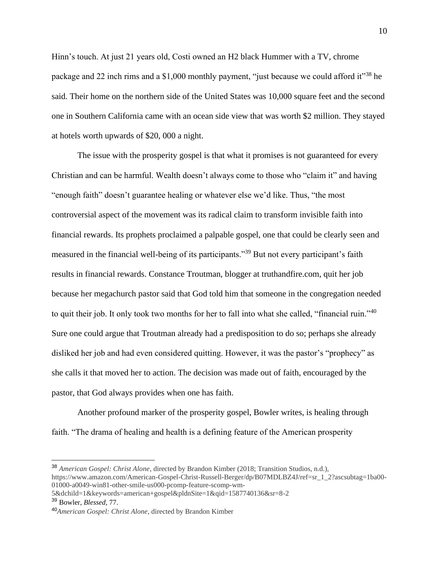Hinn's touch. At just 21 years old, Costi owned an H2 black Hummer with a TV, chrome package and 22 inch rims and a \$1,000 monthly payment, "just because we could afford it"<sup>38</sup> he said. Their home on the northern side of the United States was 10,000 square feet and the second one in Southern California came with an ocean side view that was worth \$2 million. They stayed at hotels worth upwards of \$20, 000 a night.

The issue with the prosperity gospel is that what it promises is not guaranteed for every Christian and can be harmful. Wealth doesn't always come to those who "claim it" and having "enough faith" doesn't guarantee healing or whatever else we'd like. Thus, "the most controversial aspect of the movement was its radical claim to transform invisible faith into financial rewards. Its prophets proclaimed a palpable gospel, one that could be clearly seen and measured in the financial well-being of its participants."<sup>39</sup> But not every participant's faith results in financial rewards. Constance Troutman, blogger at truthandfire.com, quit her job because her megachurch pastor said that God told him that someone in the congregation needed to quit their job. It only took two months for her to fall into what she called, "financial ruin."<sup>40</sup> Sure one could argue that Troutman already had a predisposition to do so; perhaps she already disliked her job and had even considered quitting. However, it was the pastor's "prophecy" as she calls it that moved her to action. The decision was made out of faith, encouraged by the pastor, that God always provides when one has faith.

Another profound marker of the prosperity gospel, Bowler writes, is healing through faith. "The drama of healing and health is a defining feature of the American prosperity

<sup>38</sup> *American Gospel: Christ Alone*, directed by Brandon Kimber (2018; Transition Studios, n.d.), https://www.amazon.com/American-Gospel-Christ-Russell-Berger/dp/B07MDLBZ4J/ref=sr\_1\_2?ascsubtag=1ba00- 01000-a0049-win81-other-smile-us000-pcomp-feature-scomp-wm-

<sup>5&</sup>amp;dchild=1&keywords=american+gospel&pldnSite=1&qid=1587740136&sr=8-2

<sup>39</sup> Bowler, *Blessed,* 77.

<sup>40</sup>*American Gospel: Christ Alone*, directed by Brandon Kimber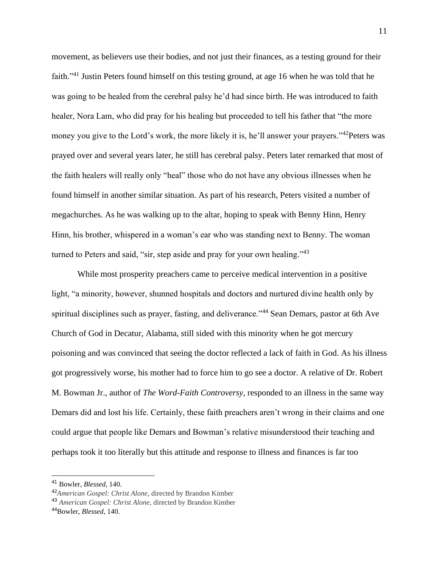movement, as believers use their bodies, and not just their finances, as a testing ground for their faith."<sup>41</sup> Justin Peters found himself on this testing ground, at age 16 when he was told that he was going to be healed from the cerebral palsy he'd had since birth. He was introduced to faith healer, Nora Lam, who did pray for his healing but proceeded to tell his father that "the more money you give to the Lord's work, the more likely it is, he'll answer your prayers."<sup>42</sup>Peters was prayed over and several years later, he still has cerebral palsy. Peters later remarked that most of the faith healers will really only "heal" those who do not have any obvious illnesses when he found himself in another similar situation. As part of his research, Peters visited a number of megachurches. As he was walking up to the altar, hoping to speak with Benny Hinn, Henry Hinn, his brother, whispered in a woman's ear who was standing next to Benny. The woman turned to Peters and said, "sir, step aside and pray for your own healing."<sup>43</sup>

While most prosperity preachers came to perceive medical intervention in a positive light, "a minority, however, shunned hospitals and doctors and nurtured divine health only by spiritual disciplines such as prayer, fasting, and deliverance."<sup>44</sup> Sean Demars, pastor at 6th Ave Church of God in Decatur, Alabama, still sided with this minority when he got mercury poisoning and was convinced that seeing the doctor reflected a lack of faith in God. As his illness got progressively worse, his mother had to force him to go see a doctor. A relative of Dr. Robert M. Bowman Jr., author of *The Word-Faith Controversy*, responded to an illness in the same way Demars did and lost his life. Certainly, these faith preachers aren't wrong in their claims and one could argue that people like Demars and Bowman's relative misunderstood their teaching and perhaps took it too literally but this attitude and response to illness and finances is far too

<sup>41</sup> Bowler, *Blessed,* 140.

<sup>42</sup>*American Gospel: Christ Alone*, directed by Brandon Kimber

<sup>43</sup> *American Gospel: Christ Alone*, directed by Brandon Kimber

<sup>44</sup>Bowler, *Blessed,* 140.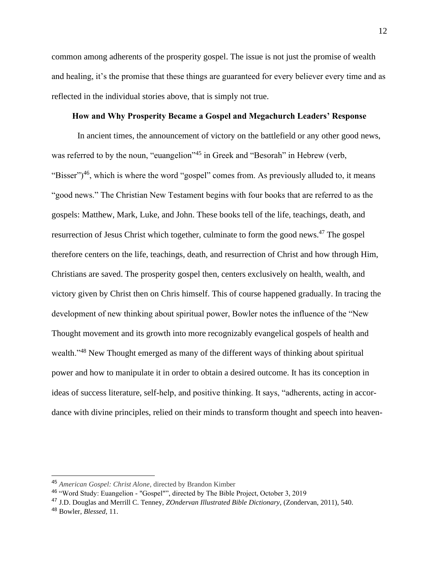common among adherents of the prosperity gospel. The issue is not just the promise of wealth and healing, it's the promise that these things are guaranteed for every believer every time and as reflected in the individual stories above, that is simply not true.

## **How and Why Prosperity Became a Gospel and Megachurch Leaders' Response**

In ancient times, the announcement of victory on the battlefield or any other good news, was referred to by the noun, "euangelion"<sup>45</sup> in Greek and "Besorah" in Hebrew (verb, "Bisser")<sup>46</sup>, which is where the word "gospel" comes from. As previously alluded to, it means "good news." The Christian New Testament begins with four books that are referred to as the gospels: Matthew, Mark, Luke, and John. These books tell of the life, teachings, death, and resurrection of Jesus Christ which together, culminate to form the good news.<sup>47</sup> The gospel therefore centers on the life, teachings, death, and resurrection of Christ and how through Him, Christians are saved. The prosperity gospel then, centers exclusively on health, wealth, and victory given by Christ then on Chris himself. This of course happened gradually. In tracing the development of new thinking about spiritual power, Bowler notes the influence of the "New Thought movement and its growth into more recognizably evangelical gospels of health and wealth."<sup>48</sup> New Thought emerged as many of the different ways of thinking about spiritual power and how to manipulate it in order to obtain a desired outcome. It has its conception in ideas of success literature, self-help, and positive thinking. It says, "adherents, acting in accordance with divine principles, relied on their minds to transform thought and speech into heaven-

<sup>45</sup> *American Gospel: Christ Alone*, directed by Brandon Kimber

<sup>46</sup> "Word Study: Euangelion - "Gospel"", directed by The Bible Project, October 3, 2019

<sup>47</sup> J.D. Douglas and Merrill C. Tenney, *ZOndervan Illustrated Bible Dictionary,* (Zondervan, 2011), 540.

<sup>48</sup> Bowler, *Blessed,* 11.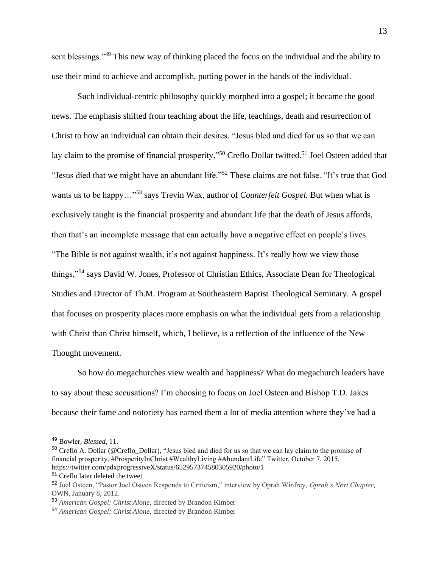sent blessings."<sup>49</sup> This new way of thinking placed the focus on the individual and the ability to use their mind to achieve and accomplish, putting power in the hands of the individual.

Such individual-centric philosophy quickly morphed into a gospel; it became the good news. The emphasis shifted from teaching about the life, teachings, death and resurrection of Christ to how an individual can obtain their desires. "Jesus bled and died for us so that we can lay claim to the promise of financial prosperity,"<sup>50</sup> Creflo Dollar twitted.<sup>51</sup> Joel Osteen added that "Jesus died that we might have an abundant life."<sup>52</sup> These claims are not false. "It's true that God wants us to be happy…"<sup>53</sup> says Trevin Wax, author of *Counterfeit Gospel.* But when what is exclusively taught is the financial prosperity and abundant life that the death of Jesus affords, then that's an incomplete message that can actually have a negative effect on people's lives. "The Bible is not against wealth, it's not against happiness. It's really how we view those things,"<sup>54</sup> says David W. Jones, Professor of Christian Ethics, Associate Dean for Theological Studies and Director of Th.M. Program at Southeastern Baptist Theological Seminary. A gospel that focuses on prosperity places more emphasis on what the individual gets from a relationship with Christ than Christ himself, which, I believe, is a reflection of the influence of the New Thought movement.

So how do megachurches view wealth and happiness? What do megachurch leaders have to say about these accusations? I'm choosing to focus on Joel Osteen and Bishop T.D. Jakes because their fame and notoriety has earned them a lot of media attention where they've had a

<sup>49</sup> Bowler, *Blessed,* 11.

<sup>&</sup>lt;sup>50</sup> Creflo A. Dollar (@Creflo\_Dollar), "Jesus bled and died for us so that we can lay claim to the promise of financial prosperity, #ProsperityInChrist #WealthyLiving #AbundantLife" Twitter, October 7, 2015, https://twitter.com/pdxprogressiveX/status/652957374580305920/photo/1

<sup>51</sup> Creflo later deleted the tweet

<sup>52</sup> Joel Osteen, "Pastor Joel Osteen Responds to Criticism," interview by Oprah Winfrey, *Oprah's Next Chapter*, OWN, January 8, 2012.

<sup>53</sup> *American Gospel: Christ Alone*, directed by Brandon Kimber

<sup>54</sup> *American Gospel: Christ Alone*, directed by Brandon Kimber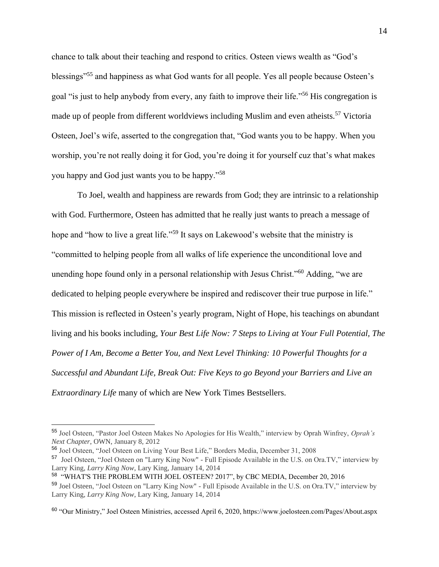chance to talk about their teaching and respond to critics. Osteen views wealth as "God's blessings"<sup>55</sup> and happiness as what God wants for all people. Yes all people because Osteen's goal "is just to help anybody from every, any faith to improve their life."<sup>56</sup> His congregation is made up of people from different worldviews including Muslim and even atheists.<sup>57</sup> Victoria Osteen, Joel's wife, asserted to the congregation that, "God wants you to be happy. When you worship, you're not really doing it for God, you're doing it for yourself cuz that's what makes you happy and God just wants you to be happy."<sup>58</sup>

To Joel, wealth and happiness are rewards from God; they are intrinsic to a relationship with God. Furthermore, Osteen has admitted that he really just wants to preach a message of hope and "how to live a great life."<sup>59</sup> It says on Lakewood's website that the ministry is "committed to helping people from all walks of life experience the unconditional love and unending hope found only in a personal relationship with Jesus Christ."<sup>60</sup> Adding, "we are dedicated to helping people everywhere be inspired and rediscover their true purpose in life." This mission is reflected in Osteen's yearly program, Night of Hope, his teachings on abundant living and his books including, *Your Best Life Now: 7 Steps to Living at Your Full Potential, The Power of I Am, Become a Better You, and Next Level Thinking: 10 Powerful Thoughts for a Successful and Abundant Life, Break Out: Five Keys to go Beyond your Barriers and Live an Extraordinary Life* many of which are New York Times Bestsellers.

<sup>55</sup> Joel Osteen, "Pastor Joel Osteen Makes No Apologies for His Wealth," interview by Oprah Winfrey, *Oprah's Next Chapter*, OWN, January 8, 2012

<sup>56</sup> Joel Osteen, "Joel Osteen on Living Your Best Life," Borders Media, December 31, 2008

<sup>&</sup>lt;sup>57</sup> Joel Osteen, "Joel Osteen on "Larry King Now" - Full Episode Available in the U.S. on Ora.TV," interview by Larry King, *Larry King Now*, Lary King, January 14, 2014

<sup>58</sup> "WHAT'S THE PROBLEM WITH JOEL OSTEEN? 2017", by CBC MEDIA, December 20, 2016 <sup>59</sup> Joel Osteen, "Joel Osteen on "Larry King Now" - Full Episode Available in the U.S. on Ora.TV," interview by Larry King, *Larry King Now*, Lary King, January 14, 2014

<sup>60</sup> "Our Ministry," Joel Osteen Ministries, accessed April 6, 2020, https://www.joelosteen.com/Pages/About.aspx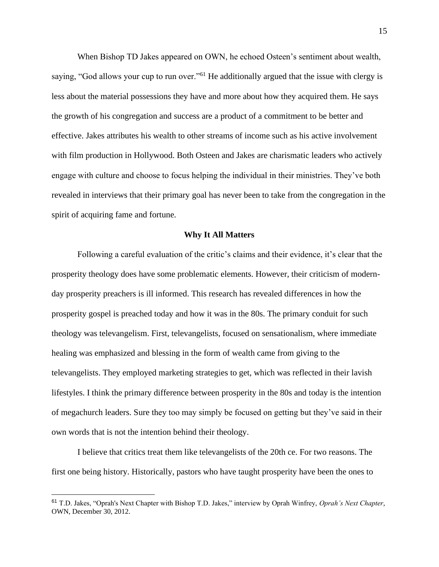When Bishop TD Jakes appeared on OWN, he echoed Osteen's sentiment about wealth, saying, "God allows your cup to run over."<sup>61</sup> He additionally argued that the issue with clergy is less about the material possessions they have and more about how they acquired them. He says the growth of his congregation and success are a product of a commitment to be better and effective. Jakes attributes his wealth to other streams of income such as his active involvement with film production in Hollywood. Both Osteen and Jakes are charismatic leaders who actively engage with culture and choose to focus helping the individual in their ministries. They've both revealed in interviews that their primary goal has never been to take from the congregation in the spirit of acquiring fame and fortune.

#### **Why It All Matters**

Following a careful evaluation of the critic's claims and their evidence, it's clear that the prosperity theology does have some problematic elements. However, their criticism of modernday prosperity preachers is ill informed. This research has revealed differences in how the prosperity gospel is preached today and how it was in the 80s. The primary conduit for such theology was televangelism. First, televangelists, focused on sensationalism, where immediate healing was emphasized and blessing in the form of wealth came from giving to the televangelists. They employed marketing strategies to get, which was reflected in their lavish lifestyles. I think the primary difference between prosperity in the 80s and today is the intention of megachurch leaders. Sure they too may simply be focused on getting but they've said in their own words that is not the intention behind their theology.

I believe that critics treat them like televangelists of the 20th ce. For two reasons. The first one being history. Historically, pastors who have taught prosperity have been the ones to

<sup>61</sup> T.D. Jakes, "Oprah's Next Chapter with Bishop T.D. Jakes," interview by Oprah Winfrey, *Oprah's Next Chapter*, OWN, December 30, 2012.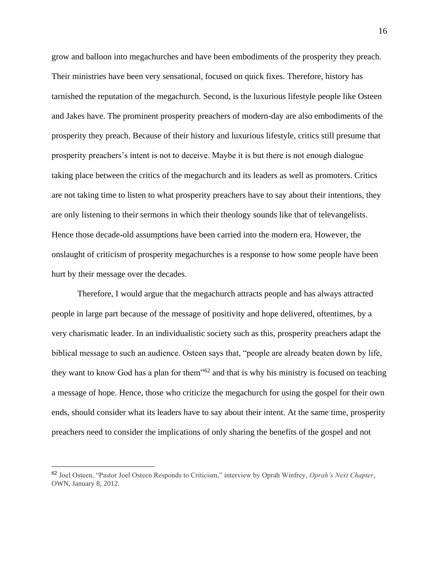grow and balloon into megachurches and have been embodiments of the prosperity they preach. Their ministries have been very sensational, focused on quick fixes. Therefore, history has tarnished the reputation of the megachurch. Second, is the luxurious lifestyle people like Osteen and Jakes have. The prominent prosperity preachers of modern-day are also embodiments of the prosperity they preach. Because of their history and luxurious lifestyle, critics still presume that prosperity preachers's intent is not to deceive. Maybe it is but there is not enough dialogue taking place between the critics of the megachurch and its leaders as well as promoters. Critics are not taking time to listen to what prosperity preachers have to say about their intentions, they are only listening to their sermons in which their theology sounds like that of televangelists. Hence those decade-old assumptions have been carried into the modern era. However, the onslaught of criticism of prosperity megachurches is a response to how some people have been hurt by their message over the decades.

Therefore, I would argue that the megachurch attracts people and has always attracted people in large part because of the message of positivity and hope delivered, oftentimes, by a very charismatic leader. In an individualistic society such as this, prosperity preachers adapt the biblical message to such an audience. Osteen says that, "people are already beaten down by life, they want to know God has a plan for them"<sup>62</sup> and that is why his ministry is focused on teaching a message of hope. Hence, those who criticize the megachurch for using the gospel for their own ends, should consider what its leaders have to say about their intent. At the same time, prosperity preachers need to consider the implications of only sharing the benefits of the gospel and not

<sup>62</sup> Joel Osteen, "Pastor Joel Osteen Responds to Criticism," interview by Oprah Winfrey, *Oprah's Next Chapter*, OWN, January 8, 2012.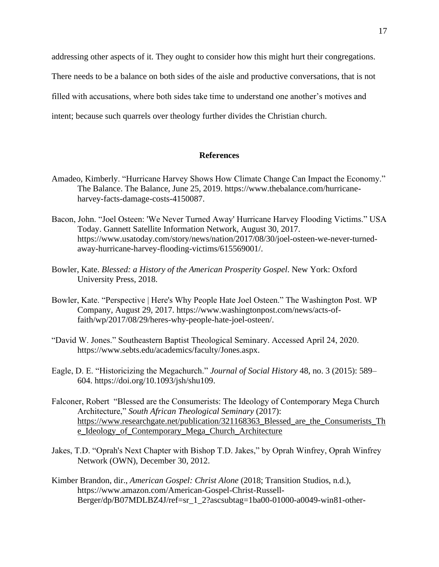addressing other aspects of it. They ought to consider how this might hurt their congregations.

There needs to be a balance on both sides of the aisle and productive conversations, that is not

filled with accusations, where both sides take time to understand one another's motives and

intent; because such quarrels over theology further divides the Christian church.

# **References**

- Amadeo, Kimberly. "Hurricane Harvey Shows How Climate Change Can Impact the Economy." The Balance. The Balance, June 25, 2019. https://www.thebalance.com/hurricaneharvey-facts-damage-costs-4150087.
- Bacon, John. "Joel Osteen: 'We Never Turned Away' Hurricane Harvey Flooding Victims." USA Today. Gannett Satellite Information Network, August 30, 2017. https://www.usatoday.com/story/news/nation/2017/08/30/joel-osteen-we-never-turnedaway-hurricane-harvey-flooding-victims/615569001/.
- Bowler, Kate. *Blessed: a History of the American Prosperity Gospel*. New York: Oxford University Press, 2018.
- Bowler, Kate. "Perspective | Here's Why People Hate Joel Osteen." The Washington Post. WP Company, August 29, 2017. https://www.washingtonpost.com/news/acts-offaith/wp/2017/08/29/heres-why-people-hate-joel-osteen/.
- "David W. Jones." Southeastern Baptist Theological Seminary. Accessed April 24, 2020. https://www.sebts.edu/academics/faculty/Jones.aspx.
- Eagle, D. E. "Historicizing the Megachurch." *Journal of Social History* 48, no. 3 (2015): 589– 604. https://doi.org/10.1093/jsh/shu109.
- Falconer, Robert "Blessed are the Consumerists: The Ideology of Contemporary Mega Church Architecture," *South African Theological Seminary* (2017): [https://www.researchgate.net/publication/321168363\\_Blessed\\_are\\_the\\_Consumerists\\_Th](https://www.researchgate.net/publication/321168363_Blessed_are_the_Consumerists_The_Ideology_of_Contemporary_Mega_Church_Architecture) [e\\_Ideology\\_of\\_Contemporary\\_Mega\\_Church\\_Architecture](https://www.researchgate.net/publication/321168363_Blessed_are_the_Consumerists_The_Ideology_of_Contemporary_Mega_Church_Architecture)
- Jakes, T.D. "Oprah's Next Chapter with Bishop T.D. Jakes," by Oprah Winfrey, Oprah Winfrey Network (OWN), December 30, 2012.
- Kimber Brandon, dir., *American Gospel: Christ Alone* (2018; Transition Studios, n.d.), https://www.amazon.com/American-Gospel-Christ-Russell-Berger/dp/B07MDLBZ4J/ref=sr\_1\_2?ascsubtag=1ba00-01000-a0049-win81-other-